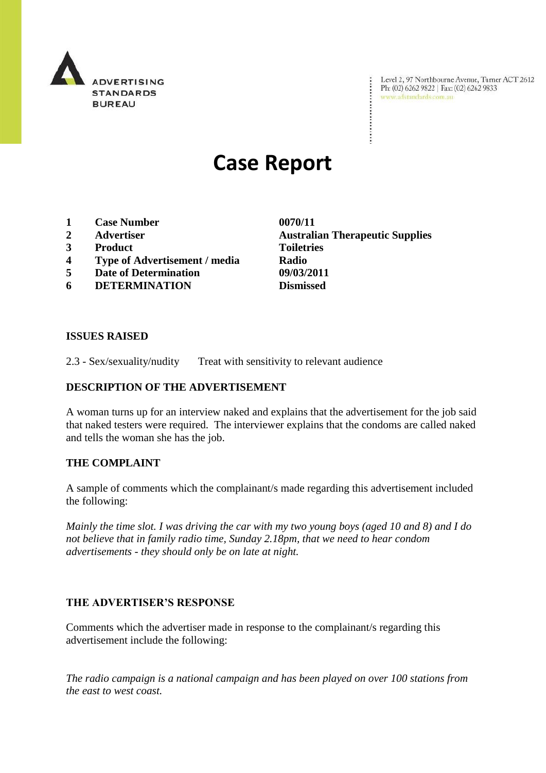

Level 2, 97 Northbourne Avenue, Turner ACT 2612<br>Ph: (02) 6262 9822 | Fax: (02) 6262 9833<br>www.adstandards.com.au

# **Case Report**

- **1 Case Number 0070/11**
- 
- **3 Product Toiletries**
- **4 Type of Advertisement / media Radio**
- **5 Date of Determination 09/03/2011**
- **6 DETERMINATION Dismissed**

**2 Advertiser Australian Therapeutic Supplies**

÷

#### **ISSUES RAISED**

2.3 - Sex/sexuality/nudity Treat with sensitivity to relevant audience

### **DESCRIPTION OF THE ADVERTISEMENT**

A woman turns up for an interview naked and explains that the advertisement for the job said that naked testers were required. The interviewer explains that the condoms are called naked and tells the woman she has the job.

#### **THE COMPLAINT**

A sample of comments which the complainant/s made regarding this advertisement included the following:

*Mainly the time slot. I was driving the car with my two young boys (aged 10 and 8) and I do not believe that in family radio time, Sunday 2.18pm, that we need to hear condom advertisements - they should only be on late at night.* 

#### **THE ADVERTISER'S RESPONSE**

Comments which the advertiser made in response to the complainant/s regarding this advertisement include the following:

*The radio campaign is a national campaign and has been played on over 100 stations from the east to west coast.*